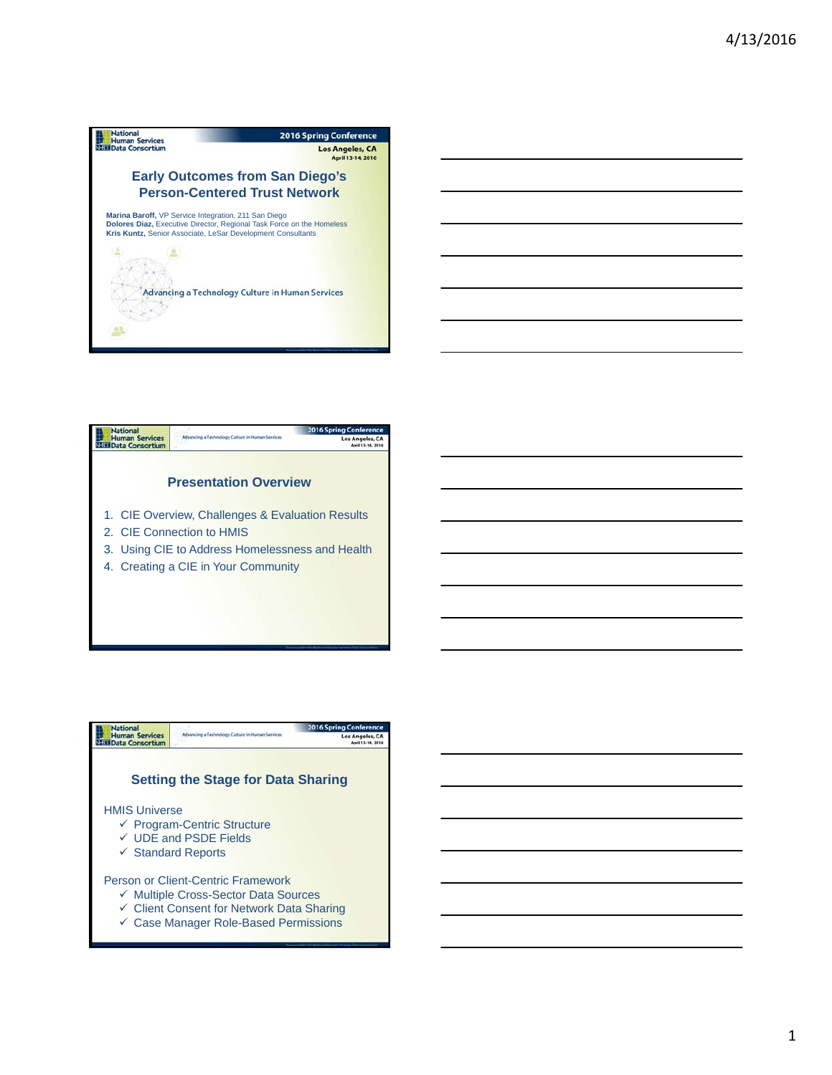



| <b>National</b><br><b>Human Services</b><br><b>Data Consortium</b> | Advancing a Technology Culture in Human Services                                                                                                                            | <b>2016 Spring Conference</b><br><b>Los Angeles, CA</b><br>April 13-14, 2016 |
|--------------------------------------------------------------------|-----------------------------------------------------------------------------------------------------------------------------------------------------------------------------|------------------------------------------------------------------------------|
|                                                                    | <b>Setting the Stage for Data Sharing</b>                                                                                                                                   |                                                                              |
| <b>HMIS Universe</b>                                               | ← Program-Centric Structure<br>$\checkmark$ UDE and PSDE Fields<br>$\checkmark$ Standard Reports                                                                            |                                                                              |
|                                                                    | Person or Client-Centric Framework<br>✓ Multiple Cross-Sector Data Sources<br>← Client Consent for Network Data Sharing<br>$\checkmark$ Case Manager Role-Based Permissions |                                                                              |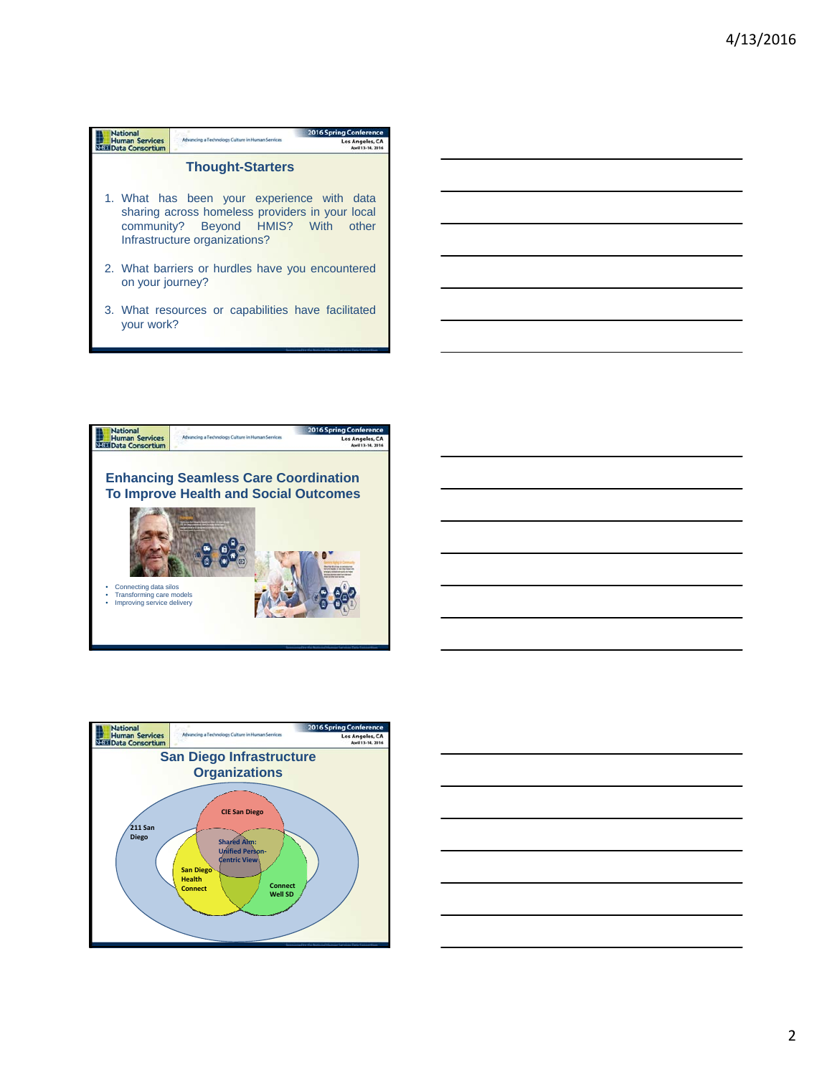| <b>National</b>                          |                                                                                                                                                                      | <b>2016 Spring Conference</b> |  |  |
|------------------------------------------|----------------------------------------------------------------------------------------------------------------------------------------------------------------------|-------------------------------|--|--|
| <b>Human Services</b><br>Data Consortium | Advancing a Technology Culture in Human Services                                                                                                                     | Los Angeles, CA               |  |  |
| <b>Thought-Starters</b>                  |                                                                                                                                                                      |                               |  |  |
|                                          | 1. What has been your experience with data<br>sharing across homeless providers in your local<br>community? Beyond HMIS? With other<br>Infrastructure organizations? |                               |  |  |
| on your journey?                         | 2. What barriers or hurdles have you encountered                                                                                                                     |                               |  |  |
|                                          | 3. What resources or capabilities have facilitated                                                                                                                   |                               |  |  |

your work?







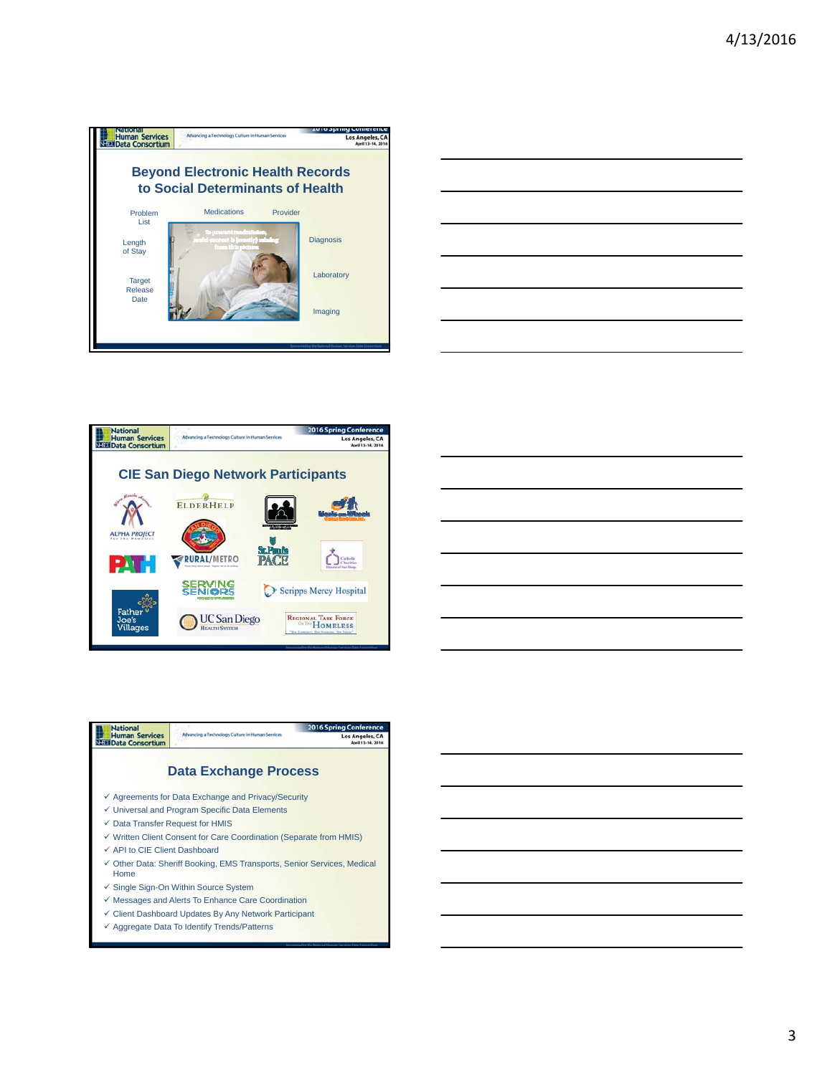

| the control of the control of the control of the control of the control of the control of the control of the control of the control of the control of the control of the control of the control of the control of the control | ___ |
|-------------------------------------------------------------------------------------------------------------------------------------------------------------------------------------------------------------------------------|-----|
|                                                                                                                                                                                                                               |     |
|                                                                                                                                                                                                                               |     |
|                                                                                                                                                                                                                               |     |
|                                                                                                                                                                                                                               |     |
|                                                                                                                                                                                                                               |     |
|                                                                                                                                                                                                                               |     |
|                                                                                                                                                                                                                               |     |
|                                                                                                                                                                                                                               |     |
|                                                                                                                                                                                                                               |     |
|                                                                                                                                                                                                                               |     |
|                                                                                                                                                                                                                               |     |
|                                                                                                                                                                                                                               |     |





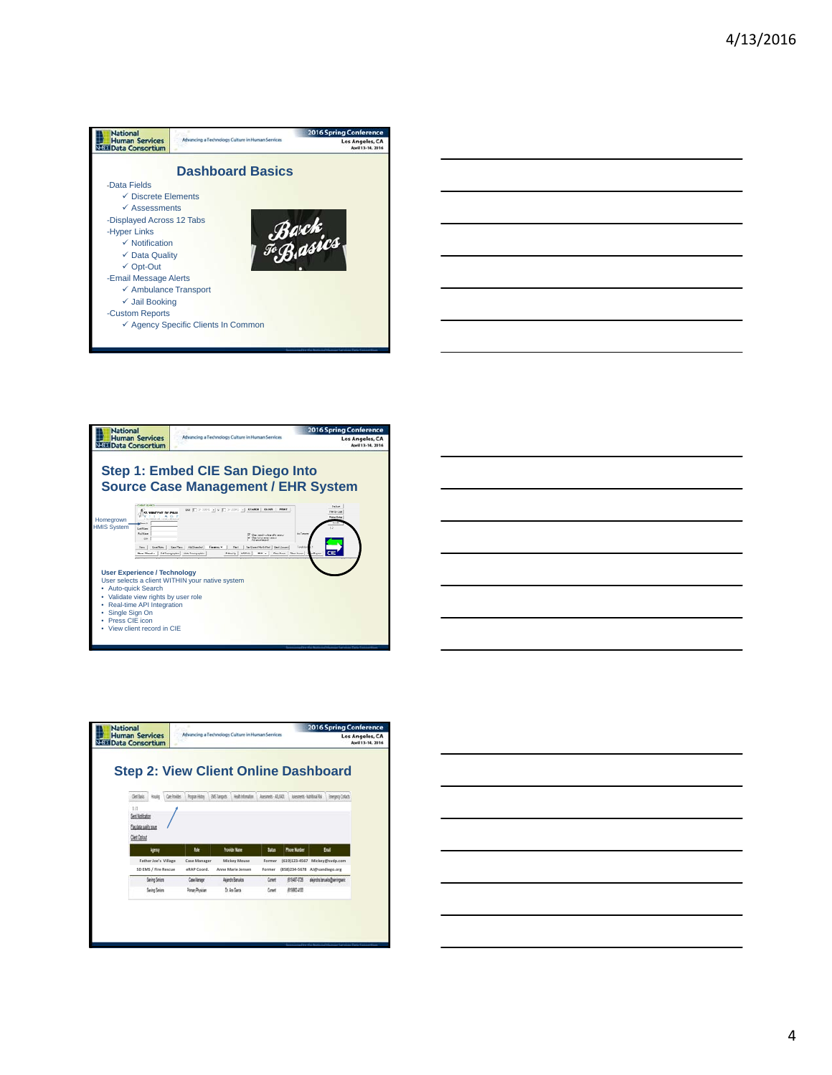









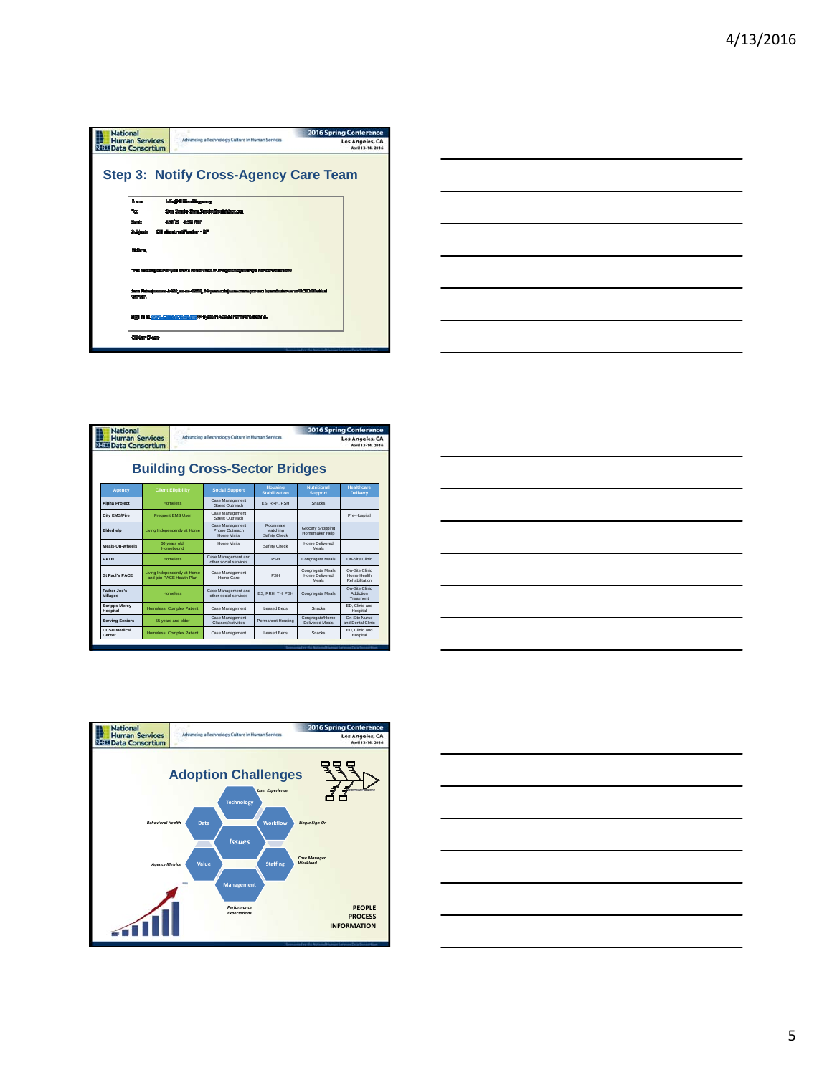



| <b>Human Services</b><br><b>NESET Data Consortium</b> |                                                           |  | Advancing a Technology Culture in Human Services |                                      | Los Angeles, CA<br>April 13-14, 2016        |                                                 |  |
|-------------------------------------------------------|-----------------------------------------------------------|--|--------------------------------------------------|--------------------------------------|---------------------------------------------|-------------------------------------------------|--|
| <b>Building Cross-Sector Bridges</b>                  |                                                           |  |                                                  |                                      |                                             |                                                 |  |
| Agency                                                | <b>Client Eligibility</b>                                 |  | <b>Social Support</b>                            | <b>Housing</b><br>Stabilization      | <b>Nutritional</b><br><b>Support</b>        | <b>Healthcare</b><br><b>Delivery</b>            |  |
| <b>Alpha Project</b>                                  | <b>Homeless</b>                                           |  | Case Management<br>Street Outreach               | ES. RRH. PSH                         | Snacks                                      |                                                 |  |
| <b>City EMS/Fire</b>                                  | <b>Frequent EMS User</b>                                  |  | Case Management<br>Street Outreach               |                                      |                                             | Pre-Hospital                                    |  |
| Elderhelp                                             | Living Independently at Home                              |  | Case Management<br>Phone Outreach<br>Home Visits | Roommate<br>Matching<br>Safety Check | Grocery Shopping<br>Homemaker Help          |                                                 |  |
| Meals-On-Wheels                                       | 60 years old.<br>Homebound                                |  | Home Visits                                      | Safety Check                         | Home Delivered<br>Meals                     |                                                 |  |
| <b>PATH</b>                                           | <b>Homeless</b>                                           |  | Case Management and<br>other social services     | PSH                                  | Congregate Meals                            | On-Site Clinic                                  |  |
| St Paul's PACE                                        | Living Independently at Home<br>and ioin PACE Health Plan |  | Case Management<br>Home Care                     | <b>PSH</b>                           | Congregate Meals<br>Home Delivered<br>Meals | On-Site Clinic<br>Home Health<br>Rehabilitation |  |
| Father Joe's<br><b>Villages</b>                       | <b>Homeless</b>                                           |  | Case Management and<br>cther social services     | ES. RRH. TH. PSH                     | Congregate Meals                            | On-Site Clinic<br><b>Addiction</b><br>Treatment |  |
| <b>Scripps Mercy</b><br>Hospital                      | Homeless, Complex Patient                                 |  | Case Management                                  | Leased Beds                          | Snacks                                      | ED. Clinic and<br>Hospital                      |  |
| <b>Serving Seniors</b>                                | 55 years and older                                        |  | Case Management<br>Classes/Activities            | Permanent Housing                    | Congregate/Home<br>Delivered Meals          | On-Site Nurse<br>and Dental Clinic              |  |
| <b>UCSD Medical</b><br>Center                         | Homeless, Complex Patient                                 |  | Case Management                                  | Leased Beds                          | Snacks                                      | FD Clinic and<br>Hospital                       |  |





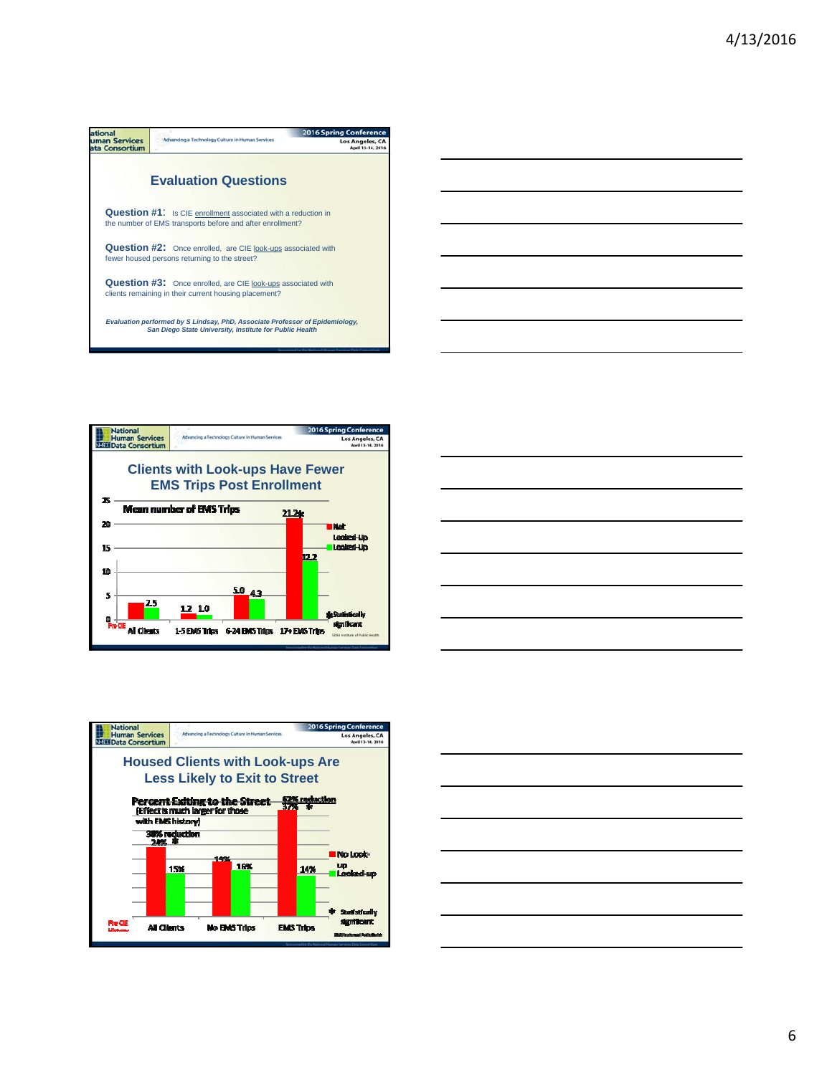







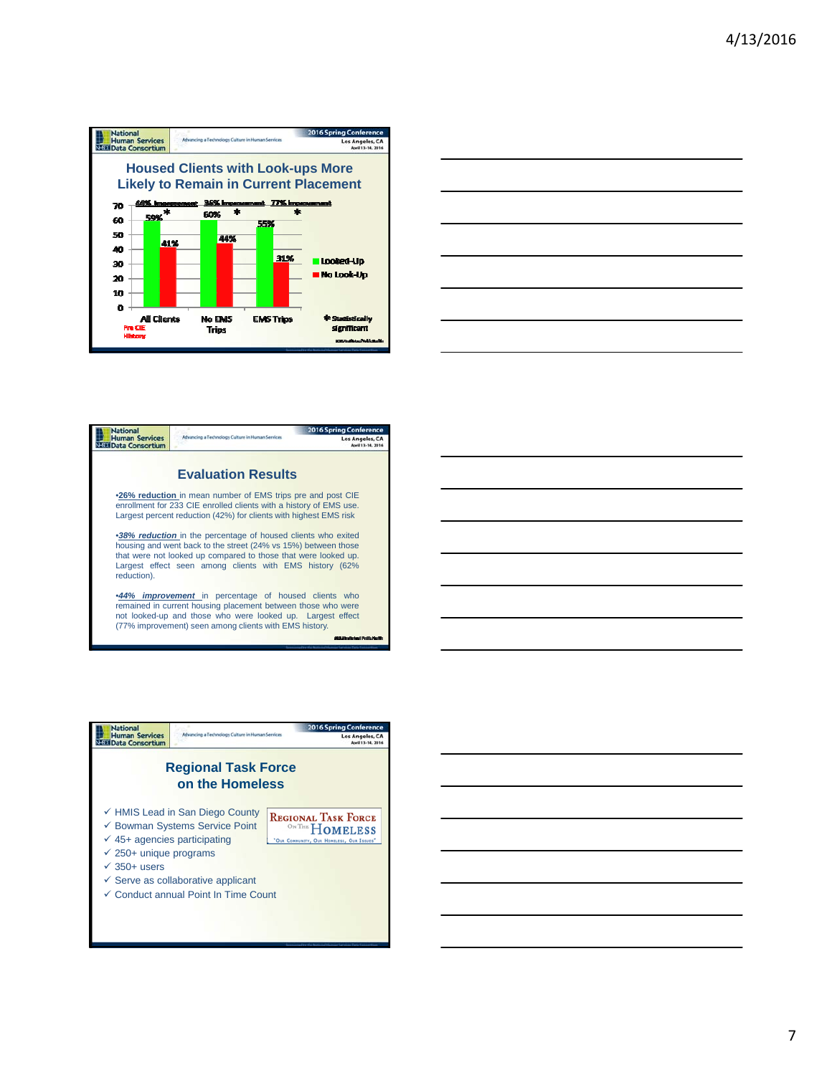







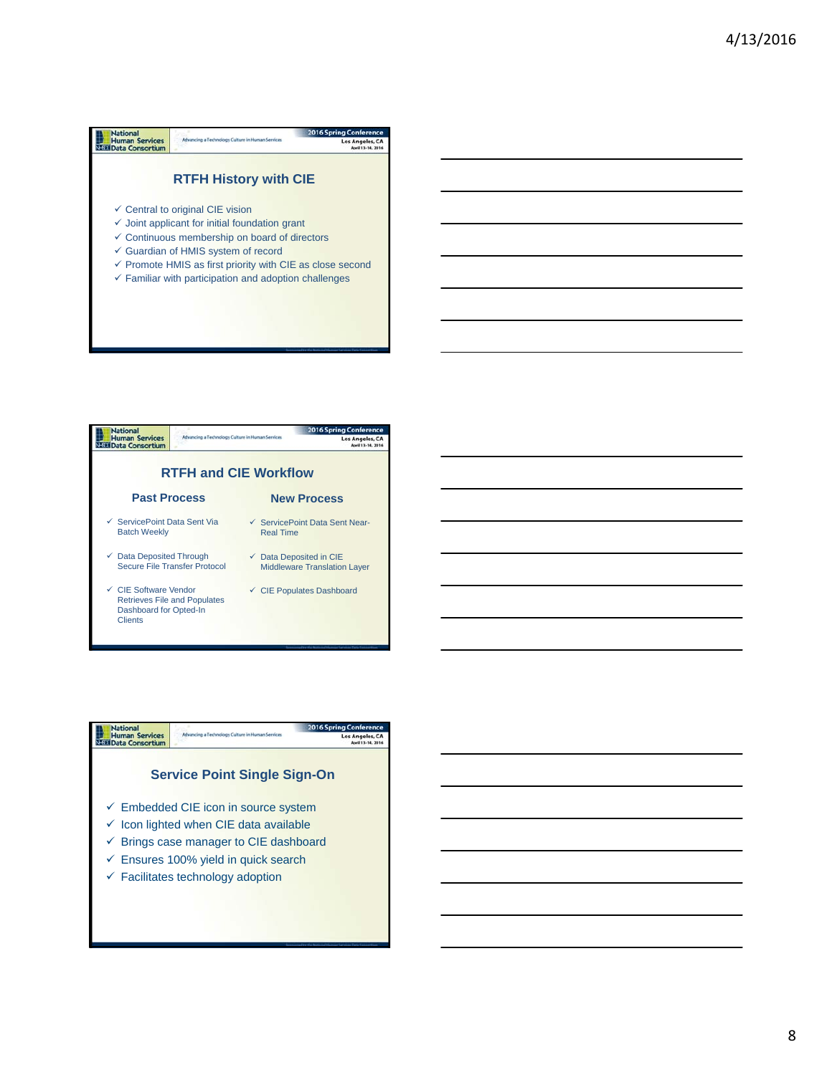## **National**<br>
Human Services<br>
N<sub>152</sub> Data Consortium 2016 Spring Conf Advancing a Technology Culture in Human Services Los Angeles, CA **RTFH History with CIE**  $\checkmark$  Central to original CIE vision  $\checkmark$  Joint applicant for initial foundation grant  $\checkmark$  Continuous membership on board of directors Guardian of HMIS system of record  $\checkmark$  Promote HMIS as first priority with CIE as close second  $\checkmark$  Familiar with participation and adoption challenges



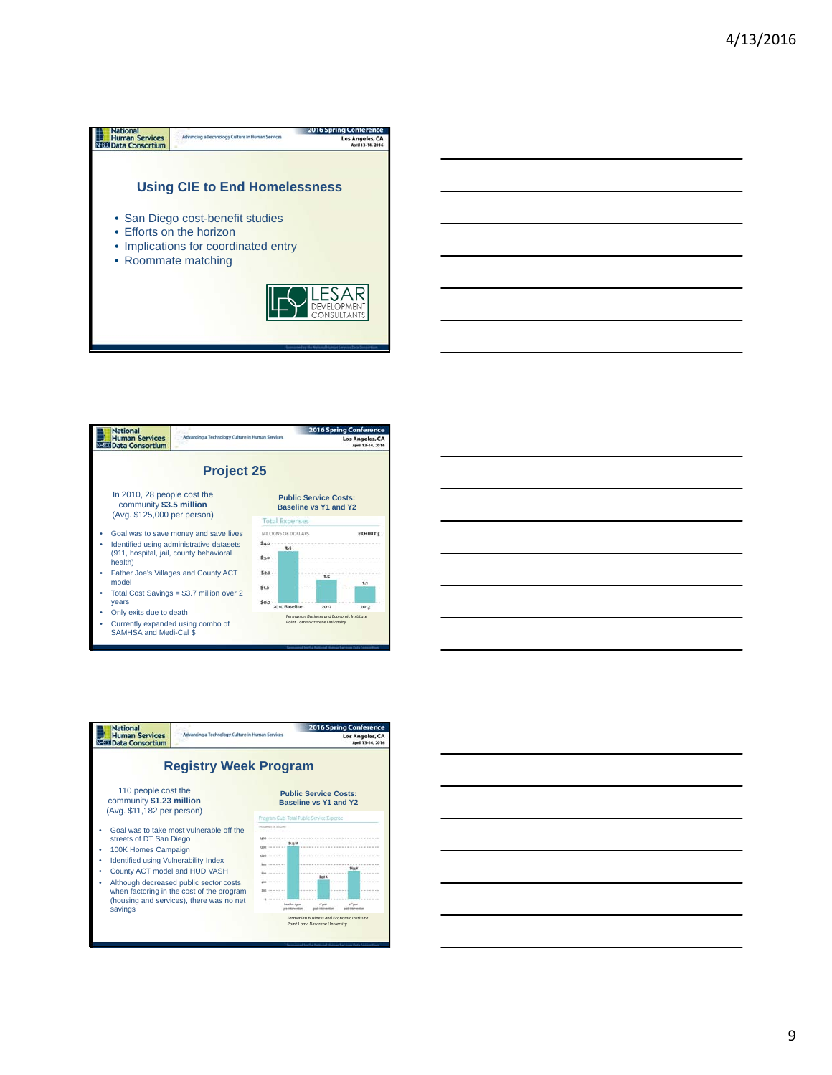



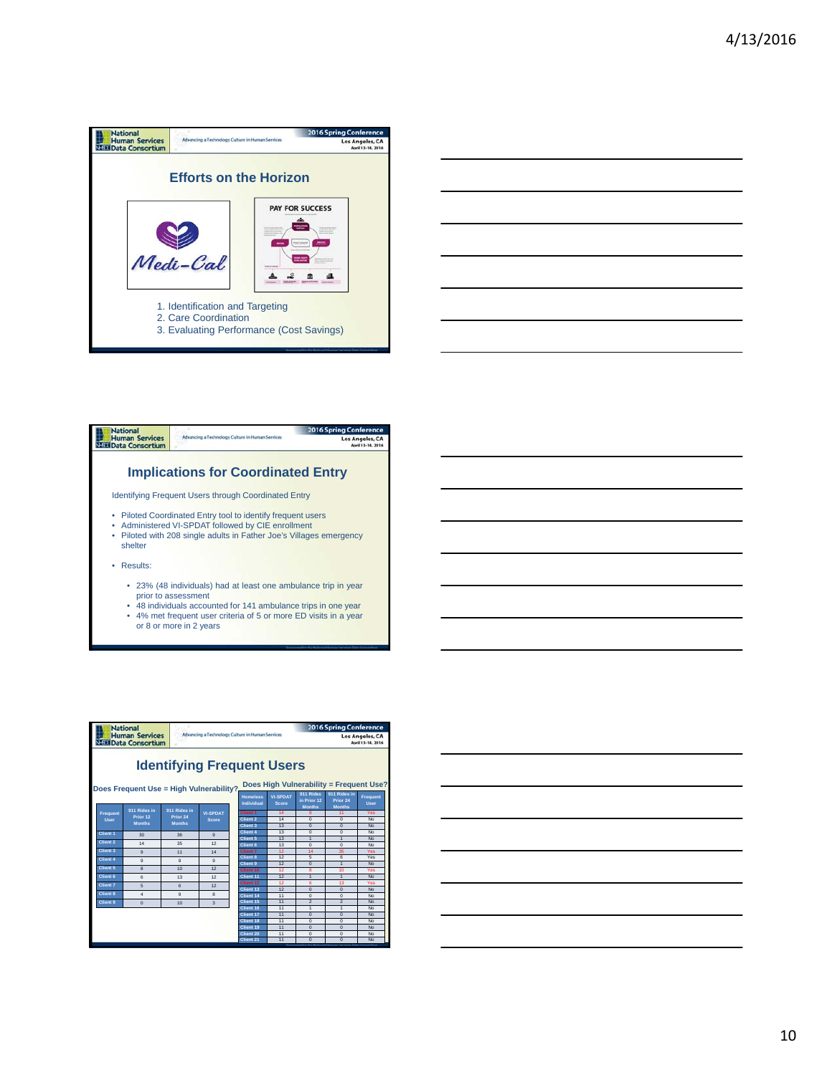





- prior to assessment 48 individuals accounted for 141 ambulance trips in one year
- 4% met frequent user criteria of 5 or more ED visits in a year or 8 or more in 2 years

| <b>National</b><br>Advancing a Technology Culture in Human Services<br><b>Human Services</b><br><b>NEED</b> Data Consortium |                                                                                                                                                                                                                       |                                           |                                           |                          | <b>2016 Spring Conference</b><br>Los Angeles, CA<br>April 13-14, 2016 |                                         |                |                           |                            |                 |
|-----------------------------------------------------------------------------------------------------------------------------|-----------------------------------------------------------------------------------------------------------------------------------------------------------------------------------------------------------------------|-------------------------------------------|-------------------------------------------|--------------------------|-----------------------------------------------------------------------|-----------------------------------------|----------------|---------------------------|----------------------------|-----------------|
|                                                                                                                             | <b>Identifying Frequent Users</b><br>Does High Vulnerability = Frequent Use?                                                                                                                                          |                                           |                                           |                          |                                                                       |                                         |                |                           |                            |                 |
|                                                                                                                             | Does Frequent Use = High Vulnerability?.<br>911 Rides in<br>911 Rides<br><b>VI-SPDAT</b><br><b>Homeless</b><br>in Prior 12<br>Prior 24<br>Individual<br><b>Score</b><br><b>User</b><br><b>Months</b><br><b>Months</b> |                                           |                                           |                          |                                                                       | Frequent                                |                |                           |                            |                 |
|                                                                                                                             | Frequent<br>User                                                                                                                                                                                                      | 911 Rides in<br>Prior 12<br><b>Months</b> | 911 Rides in<br>Prior 24<br><b>Months</b> | <b>VI-SPDAT</b><br>Score |                                                                       | <b>Client 1</b><br>Client 2<br>Client 3 | 14<br>14<br>13 | ä<br>$\Omega$<br>$\Omega$ | 11<br>$\Omega$<br>$\Omega$ | Yes<br>No<br>No |
|                                                                                                                             | Client 1                                                                                                                                                                                                              | 30                                        | 36                                        | $\mathbf{Q}$             |                                                                       | Client 4                                | 13             | $\Omega$                  | $\Omega$                   | No              |
|                                                                                                                             | Client 2                                                                                                                                                                                                              |                                           |                                           |                          |                                                                       | Client 5                                | 13             | 1                         | $\overline{1}$             | No              |
|                                                                                                                             |                                                                                                                                                                                                                       | 14                                        | 35                                        | 12                       |                                                                       | Client 6                                | 13             | $\Omega$                  | $\Omega$                   | No              |
|                                                                                                                             | Client <sub>3</sub>                                                                                                                                                                                                   | $\mathbf{a}$                              | 11                                        | 14                       |                                                                       | Client 7                                | 12             | 14                        | 35                         | Yes             |
|                                                                                                                             | Client 4                                                                                                                                                                                                              | $\mathbf{Q}$                              | $\mathbf{a}$                              | ä                        |                                                                       | Client 8                                | 12             | $\overline{5}$            | $\overline{6}$             | Yes             |
|                                                                                                                             | Client 5                                                                                                                                                                                                              |                                           | 10                                        | 12                       |                                                                       | Client 9                                | 12             | $\Omega$                  | $\overline{1}$             | No              |
|                                                                                                                             |                                                                                                                                                                                                                       | 8                                         |                                           |                          |                                                                       | Client 10                               | 12             | R                         | 10                         | Yes             |
|                                                                                                                             | Client 6                                                                                                                                                                                                              | 6                                         | 13                                        | 12                       |                                                                       | Client 11                               | 12<br>12       | 1                         | $\overline{1}$<br>13       | No              |
|                                                                                                                             | Client 7                                                                                                                                                                                                              | 5                                         | 6                                         | 12                       |                                                                       | Client 12<br>Client 13                  | 12             | 6<br>$\Omega$             | $\Omega$                   | Yes<br>No       |
|                                                                                                                             | Client 8                                                                                                                                                                                                              | $\overline{\bf{4}}$                       | $\overline{a}$                            | $\mathbf{a}$             |                                                                       | Client 14                               | 11             | $\Omega$                  | $\Omega$                   | No              |
|                                                                                                                             | Client <sub>9</sub>                                                                                                                                                                                                   | $\Omega$                                  | 10                                        | $\overline{\mathbf{3}}$  |                                                                       | Client 15                               | 11             | $\overline{2}$            | $\overline{2}$             | No              |
|                                                                                                                             |                                                                                                                                                                                                                       |                                           |                                           |                          |                                                                       | Client 16                               | 11             | $\mathbf{1}$              | $\ddot{\phantom{1}}$       | No              |
|                                                                                                                             |                                                                                                                                                                                                                       |                                           |                                           |                          |                                                                       | Client 17                               | 11             | $\Omega$                  | $\Omega$                   | No              |
|                                                                                                                             |                                                                                                                                                                                                                       |                                           |                                           |                          |                                                                       | Client 18                               | 11             | $\Omega$                  | $\Omega$                   | No              |
|                                                                                                                             |                                                                                                                                                                                                                       |                                           |                                           |                          |                                                                       | Client 19                               | 11             | $\overline{0}$            | $\overline{0}$             | No              |
|                                                                                                                             |                                                                                                                                                                                                                       |                                           |                                           |                          | Client 20                                                             | 11                                      | $\Omega$       | $\Omega$                  | No                         |                 |
|                                                                                                                             |                                                                                                                                                                                                                       |                                           |                                           |                          |                                                                       | Client 21                               | 11             | $\Omega$                  | $\Omega$                   | No              |

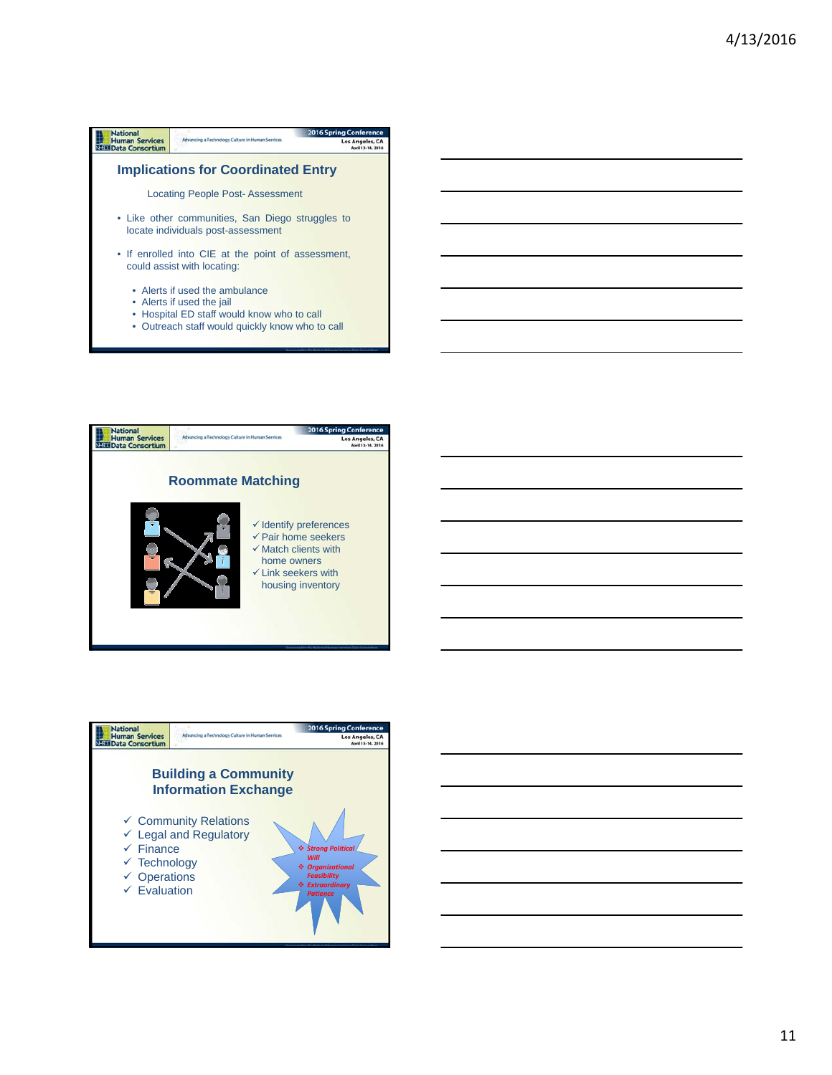| <b>National</b>                                 |                                                                                                                                                              | <b>2016 Spring Conference</b> |
|-------------------------------------------------|--------------------------------------------------------------------------------------------------------------------------------------------------------------|-------------------------------|
| <b>Human Services</b><br><b>Data Consortium</b> | Advancing a Technology Culture in Human Services                                                                                                             | Los Angeles, CA               |
|                                                 | <b>Implications for Coordinated Entry</b>                                                                                                                    |                               |
|                                                 | Locating People Post-Assessment                                                                                                                              |                               |
|                                                 | • Like other communities, San Diego struggles to<br>locate individuals post-assessment                                                                       |                               |
|                                                 | • If enrolled into CIE at the point of assessment,<br>could assist with locating:                                                                            |                               |
|                                                 | • Alerts if used the ambulance<br>• Alerts if used the jail<br>• Hospital ED staff would know who to call<br>• Outreach staff would quickly know who to call |                               |



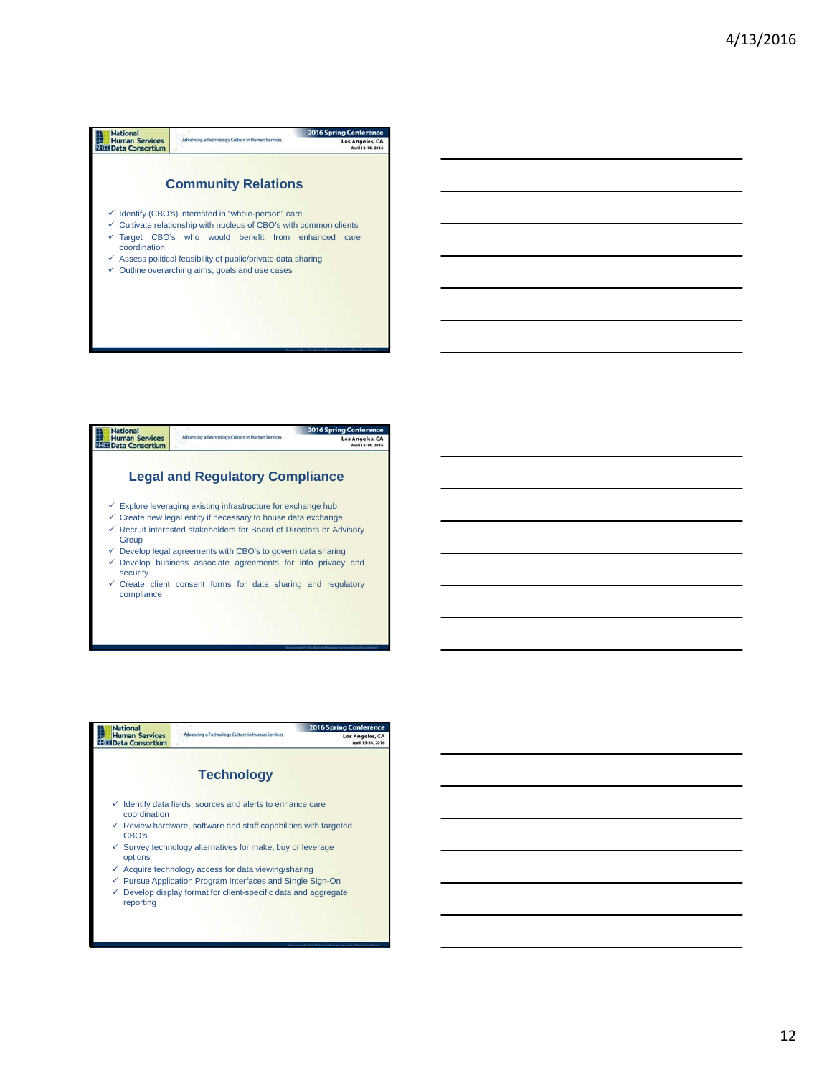| <b>National</b>                                 |                                                                                                                                                  | <b>2016 Spring Conference</b>        |
|-------------------------------------------------|--------------------------------------------------------------------------------------------------------------------------------------------------|--------------------------------------|
| <b>Human Services</b><br><b>Data Consortium</b> | Advancing a Technology Culture in Human Services                                                                                                 | Los Angeles, CA<br>April 13-14, 2016 |
|                                                 |                                                                                                                                                  |                                      |
|                                                 | <b>Community Relations</b>                                                                                                                       |                                      |
|                                                 | $\checkmark$ Identify (CBO's) interested in "whole-person" care<br>$\checkmark$ Cultivate relationship with nucleus of CBO's with common clients |                                      |
| coordination                                    | $\checkmark$ Target CBO's who would benefit from enhanced                                                                                        | care                                 |
|                                                 | $\checkmark$ Assess political feasibility of public/private data sharing                                                                         |                                      |
|                                                 | $\checkmark$ Outline overarching aims, goals and use cases                                                                                       |                                      |
|                                                 |                                                                                                                                                  |                                      |
|                                                 |                                                                                                                                                  |                                      |
|                                                 |                                                                                                                                                  |                                      |
|                                                 |                                                                                                                                                  |                                      |
|                                                 |                                                                                                                                                  |                                      |